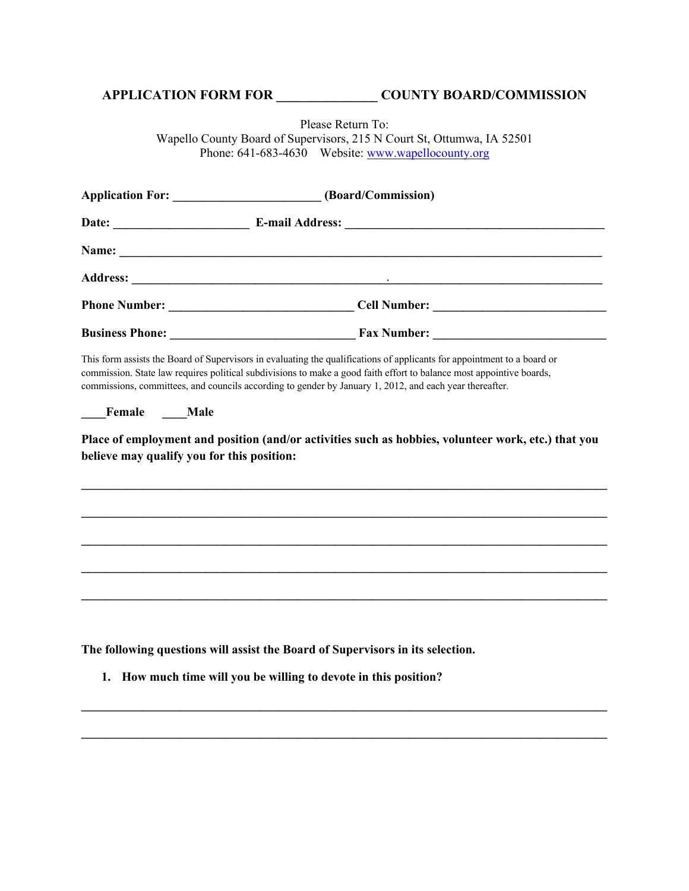## **APPLICATION FORM FOR \_\_\_\_\_\_\_\_\_\_\_\_\_\_\_ COUNTY BOARD/COMMISSION**

Please Return To:

Wapello County Board of Supervisors, 215 N Court St, Ottumwa, IA 52501 Phone: 641-683-4630 Website: www.wapellocounty.org

|                                                           | Application For: ________________________(Board/Commission)                                                                                                                                                                                                                                                                                                                                                                                                       |
|-----------------------------------------------------------|-------------------------------------------------------------------------------------------------------------------------------------------------------------------------------------------------------------------------------------------------------------------------------------------------------------------------------------------------------------------------------------------------------------------------------------------------------------------|
|                                                           |                                                                                                                                                                                                                                                                                                                                                                                                                                                                   |
|                                                           |                                                                                                                                                                                                                                                                                                                                                                                                                                                                   |
|                                                           |                                                                                                                                                                                                                                                                                                                                                                                                                                                                   |
|                                                           |                                                                                                                                                                                                                                                                                                                                                                                                                                                                   |
|                                                           |                                                                                                                                                                                                                                                                                                                                                                                                                                                                   |
| Female Male<br>believe may qualify you for this position: | This form assists the Board of Supervisors in evaluating the qualifications of applicants for appointment to a board or<br>commission. State law requires political subdivisions to make a good faith effort to balance most appointive boards,<br>commissions, committees, and councils according to gender by January 1, 2012, and each year thereafter.<br>Place of employment and position (and/or activities such as hobbies, volunteer work, etc.) that you |
|                                                           |                                                                                                                                                                                                                                                                                                                                                                                                                                                                   |
|                                                           |                                                                                                                                                                                                                                                                                                                                                                                                                                                                   |
|                                                           |                                                                                                                                                                                                                                                                                                                                                                                                                                                                   |
|                                                           |                                                                                                                                                                                                                                                                                                                                                                                                                                                                   |
|                                                           |                                                                                                                                                                                                                                                                                                                                                                                                                                                                   |
|                                                           |                                                                                                                                                                                                                                                                                                                                                                                                                                                                   |
|                                                           | The following questions will assist the Board of Supervisors in its selection.                                                                                                                                                                                                                                                                                                                                                                                    |

**\_\_\_\_\_\_\_\_\_\_\_\_\_\_\_\_\_\_\_\_\_\_\_\_\_\_\_\_\_\_\_\_\_\_\_\_\_\_\_\_\_\_\_\_\_\_\_\_\_\_\_\_\_\_\_\_\_\_\_\_\_\_\_\_\_\_\_\_\_\_\_\_\_\_\_\_\_\_\_\_\_\_\_\_\_**

**\_\_\_\_\_\_\_\_\_\_\_\_\_\_\_\_\_\_\_\_\_\_\_\_\_\_\_\_\_\_\_\_\_\_\_\_\_\_\_\_\_\_\_\_\_\_\_\_\_\_\_\_\_\_\_\_\_\_\_\_\_\_\_\_\_\_\_\_\_\_\_\_\_\_\_\_\_\_\_\_\_\_\_\_\_**

**1. How much time will you be willing to devote in this position?**